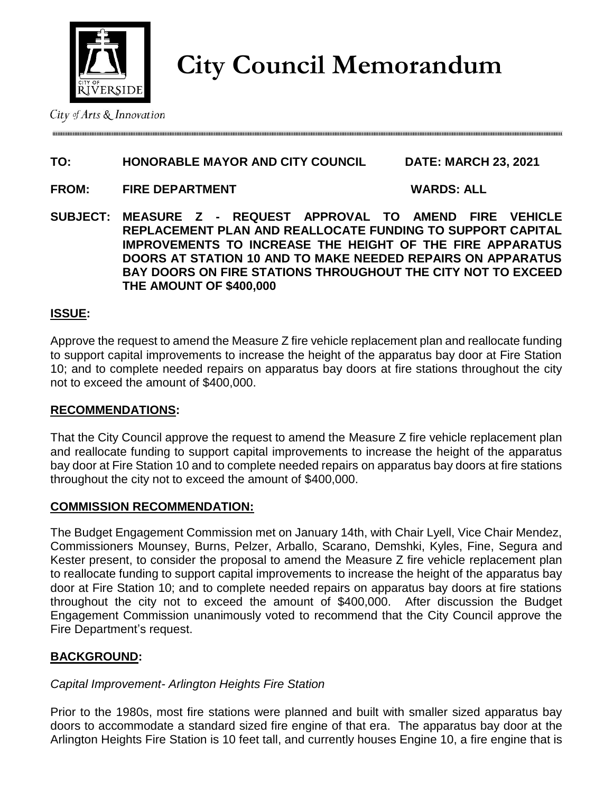

**City Council Memorandum**

# **TO: HONORABLE MAYOR AND CITY COUNCIL DATE: MARCH 23, 2021**

**FROM: FIRE DEPARTMENT WARDS: ALL** 

**SUBJECT: MEASURE Z - REQUEST APPROVAL TO AMEND FIRE VEHICLE REPLACEMENT PLAN AND REALLOCATE FUNDING TO SUPPORT CAPITAL IMPROVEMENTS TO INCREASE THE HEIGHT OF THE FIRE APPARATUS DOORS AT STATION 10 AND TO MAKE NEEDED REPAIRS ON APPARATUS BAY DOORS ON FIRE STATIONS THROUGHOUT THE CITY NOT TO EXCEED THE AMOUNT OF \$400,000**

## **ISSUE:**

Approve the request to amend the Measure Z fire vehicle replacement plan and reallocate funding to support capital improvements to increase the height of the apparatus bay door at Fire Station 10; and to complete needed repairs on apparatus bay doors at fire stations throughout the city not to exceed the amount of \$400,000.

### **RECOMMENDATIONS:**

That the City Council approve the request to amend the Measure Z fire vehicle replacement plan and reallocate funding to support capital improvements to increase the height of the apparatus bay door at Fire Station 10 and to complete needed repairs on apparatus bay doors at fire stations throughout the city not to exceed the amount of \$400,000.

### **COMMISSION RECOMMENDATION:**

The Budget Engagement Commission met on January 14th, with Chair Lyell, Vice Chair Mendez, Commissioners Mounsey, Burns, Pelzer, Arballo, Scarano, Demshki, Kyles, Fine, Segura and Kester present, to consider the proposal to amend the Measure Z fire vehicle replacement plan to reallocate funding to support capital improvements to increase the height of the apparatus bay door at Fire Station 10; and to complete needed repairs on apparatus bay doors at fire stations throughout the city not to exceed the amount of \$400,000. After discussion the Budget Engagement Commission unanimously voted to recommend that the City Council approve the Fire Department's request.

# **BACKGROUND:**

### *Capital Improvement- Arlington Heights Fire Station*

Prior to the 1980s, most fire stations were planned and built with smaller sized apparatus bay doors to accommodate a standard sized fire engine of that era. The apparatus bay door at the Arlington Heights Fire Station is 10 feet tall, and currently houses Engine 10, a fire engine that is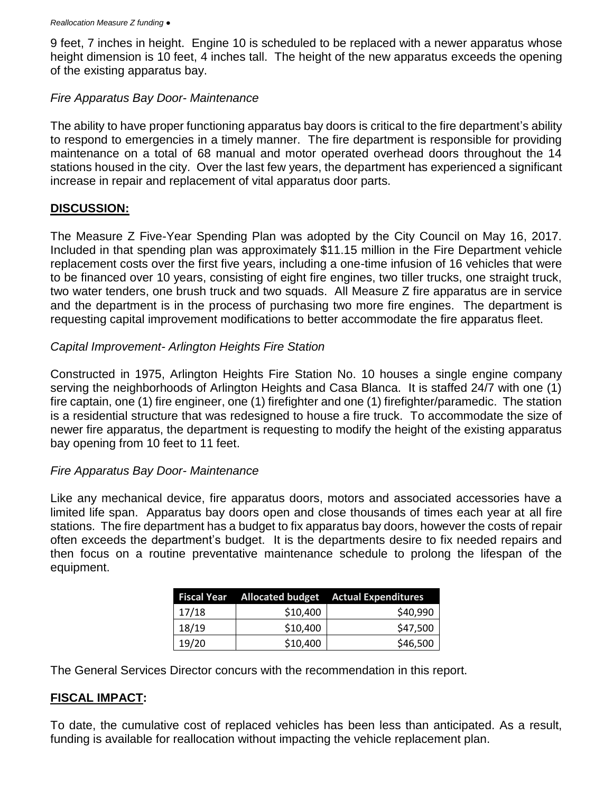9 feet, 7 inches in height. Engine 10 is scheduled to be replaced with a newer apparatus whose height dimension is 10 feet, 4 inches tall. The height of the new apparatus exceeds the opening of the existing apparatus bay.

## *Fire Apparatus Bay Door- Maintenance*

The ability to have proper functioning apparatus bay doors is critical to the fire department's ability to respond to emergencies in a timely manner. The fire department is responsible for providing maintenance on a total of 68 manual and motor operated overhead doors throughout the 14 stations housed in the city. Over the last few years, the department has experienced a significant increase in repair and replacement of vital apparatus door parts.

## **DISCUSSION:**

The Measure Z Five-Year Spending Plan was adopted by the City Council on May 16, 2017. Included in that spending plan was approximately \$11.15 million in the Fire Department vehicle replacement costs over the first five years, including a one-time infusion of 16 vehicles that were to be financed over 10 years, consisting of eight fire engines, two tiller trucks, one straight truck, two water tenders, one brush truck and two squads. All Measure Z fire apparatus are in service and the department is in the process of purchasing two more fire engines. The department is requesting capital improvement modifications to better accommodate the fire apparatus fleet.

# *Capital Improvement- Arlington Heights Fire Station*

Constructed in 1975, Arlington Heights Fire Station No. 10 houses a single engine company serving the neighborhoods of Arlington Heights and Casa Blanca. It is staffed 24/7 with one (1) fire captain, one (1) fire engineer, one (1) firefighter and one (1) firefighter/paramedic. The station is a residential structure that was redesigned to house a fire truck. To accommodate the size of newer fire apparatus, the department is requesting to modify the height of the existing apparatus bay opening from 10 feet to 11 feet.

### *Fire Apparatus Bay Door- Maintenance*

Like any mechanical device, fire apparatus doors, motors and associated accessories have a limited life span. Apparatus bay doors open and close thousands of times each year at all fire stations. The fire department has a budget to fix apparatus bay doors, however the costs of repair often exceeds the department's budget. It is the departments desire to fix needed repairs and then focus on a routine preventative maintenance schedule to prolong the lifespan of the equipment.

|       |          | Fiscal Year Allocated budget Actual Expenditures |
|-------|----------|--------------------------------------------------|
| 17/18 | \$10,400 | \$40,990                                         |
| 18/19 | \$10,400 | \$47,500                                         |
| 19/20 | \$10,400 | \$46,500                                         |

The General Services Director concurs with the recommendation in this report.

# **FISCAL IMPACT:**

To date, the cumulative cost of replaced vehicles has been less than anticipated. As a result, funding is available for reallocation without impacting the vehicle replacement plan.